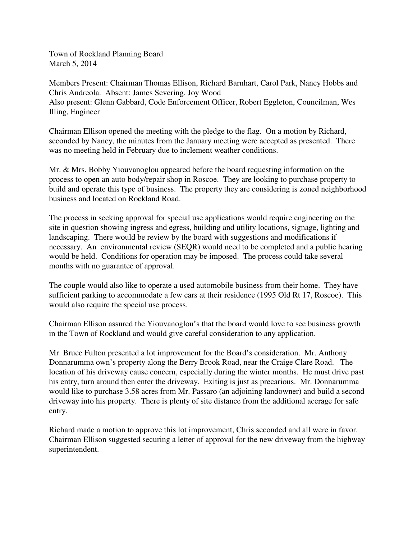Town of Rockland Planning Board March 5, 2014

Members Present: Chairman Thomas Ellison, Richard Barnhart, Carol Park, Nancy Hobbs and Chris Andreola. Absent: James Severing, Joy Wood Also present: Glenn Gabbard, Code Enforcement Officer, Robert Eggleton, Councilman, Wes Illing, Engineer

Chairman Ellison opened the meeting with the pledge to the flag. On a motion by Richard, seconded by Nancy, the minutes from the January meeting were accepted as presented. There was no meeting held in February due to inclement weather conditions.

Mr. & Mrs. Bobby Yiouvanoglou appeared before the board requesting information on the process to open an auto body/repair shop in Roscoe. They are looking to purchase property to build and operate this type of business. The property they are considering is zoned neighborhood business and located on Rockland Road.

The process in seeking approval for special use applications would require engineering on the site in question showing ingress and egress, building and utility locations, signage, lighting and landscaping. There would be review by the board with suggestions and modifications if necessary. An environmental review (SEQR) would need to be completed and a public hearing would be held. Conditions for operation may be imposed. The process could take several months with no guarantee of approval.

The couple would also like to operate a used automobile business from their home. They have sufficient parking to accommodate a few cars at their residence (1995 Old Rt 17, Roscoe). This would also require the special use process.

Chairman Ellison assured the Yiouvanoglou's that the board would love to see business growth in the Town of Rockland and would give careful consideration to any application.

Mr. Bruce Fulton presented a lot improvement for the Board's consideration. Mr. Anthony Donnarumma own's property along the Berry Brook Road, near the Craige Clare Road. The location of his driveway cause concern, especially during the winter months. He must drive past his entry, turn around then enter the driveway. Exiting is just as precarious. Mr. Donnarumma would like to purchase 3.58 acres from Mr. Passaro (an adjoining landowner) and build a second driveway into his property. There is plenty of site distance from the additional acerage for safe entry.

Richard made a motion to approve this lot improvement, Chris seconded and all were in favor. Chairman Ellison suggested securing a letter of approval for the new driveway from the highway superintendent.